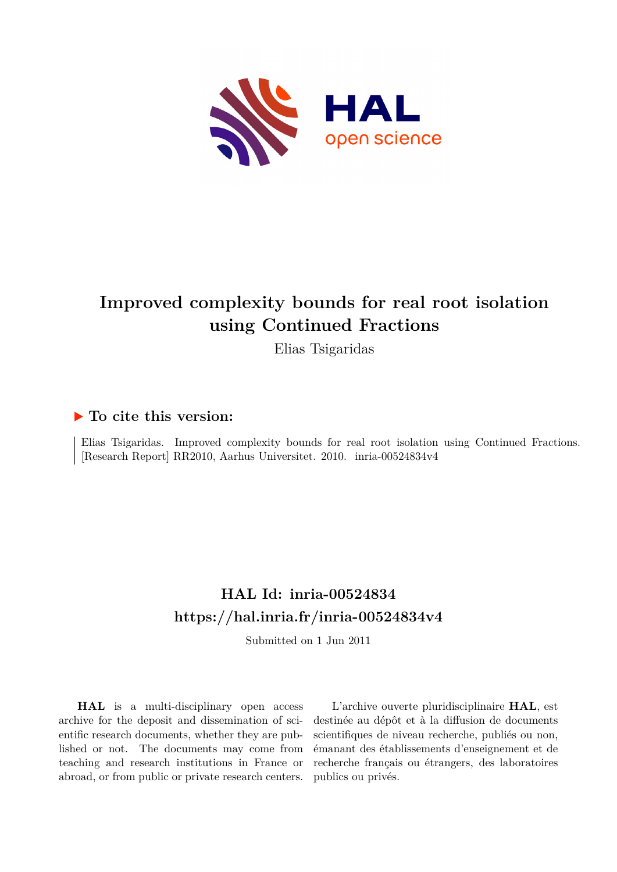

# **Improved complexity bounds for real root isolation using Continued Fractions**

Elias Tsigaridas

## **To cite this version:**

Elias Tsigaridas. Improved complexity bounds for real root isolation using Continued Fractions. [Research Report] RR2010, Aarhus Universitet. 2010. inria-00524834v4

## **HAL Id: inria-00524834 <https://hal.inria.fr/inria-00524834v4>**

Submitted on 1 Jun 2011

**HAL** is a multi-disciplinary open access archive for the deposit and dissemination of scientific research documents, whether they are published or not. The documents may come from teaching and research institutions in France or abroad, or from public or private research centers.

L'archive ouverte pluridisciplinaire **HAL**, est destinée au dépôt et à la diffusion de documents scientifiques de niveau recherche, publiés ou non, émanant des établissements d'enseignement et de recherche français ou étrangers, des laboratoires publics ou privés.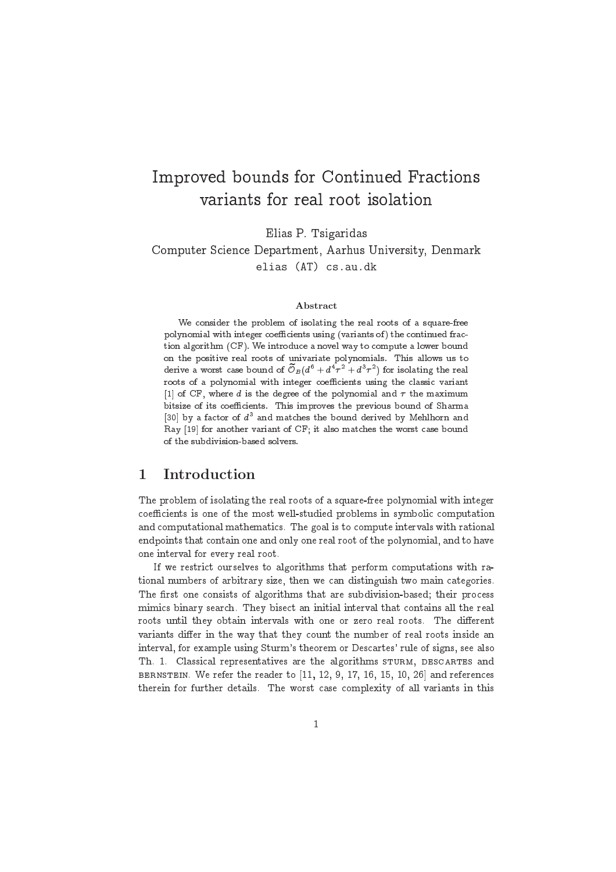## Improved bounds for Continued Fra
tions variants for real root isolation

Elias P. Tsigaridas

Computer S
ien
e Department, Aarhus University, Denmark elias (AT) cs.au.dk

#### Abstract

we consider the problem of isolating the real roots of a square-free real roots polynomial with integer oeÆ
ients using (variants of) the ontinued fra
 tion algorithm (CF). We introdu
e <sup>a</sup> novel way to ompute <sup>a</sup> lower bound on the positive real roots of univariate polynomials. This allows us to derive a worst case bound of  $\cup_B(a^* + a^*\tau^- + a^*\tau^-)$  for isolating the real roots of a polynomial with integer to the collection and the collection of the collection  $\mathcal{L}_1$  of CF, where d is the degree of the polynomial and state maximum  $\mathcal{L}_2$ bitsize of its oeÆ
ients. This improves the previous bound of Sharma  $\left|30\right|$  by a factor of  $a^{\ast}$  and matches the bound derived by Mehlhorn and ray <sub>[1911</sub> and another variance of CF; it also match that it can come worst also

## 1 Introduction

The problem of isolating the real roots of a square-free polynomial with integer coefficients is one of the most well-studied problems in symbolic computation and omputational mathemati
s. The goal is to ompute intervals with rational endpoints that ontain one and only one real root of the polynomial, and to have one interval for every real root.

If we restri
t ourselves to algorithms that perform omputations with rational numbers of arbitrary size, then we can distinguish two main categories. The first one consists of algorithms that are subdivision-based; their process mimi
s binary sear
h. They bise
t an initial interval that ontains all the real roots until they obtain intervals with one or zero real roots. The different variants differ in the way that they count the number of real roots inside an interval, for example using Sturm's theorem or Descartes' rule of signs, see also Th. 1. Classical representatives are the algorithms STURM, DESCARTES and BERNSTEIN. We refer the reader to [11, 12, 9, 17, 16, 15, 10, 26] and references therein for further details. The worst case complexity of all variants in this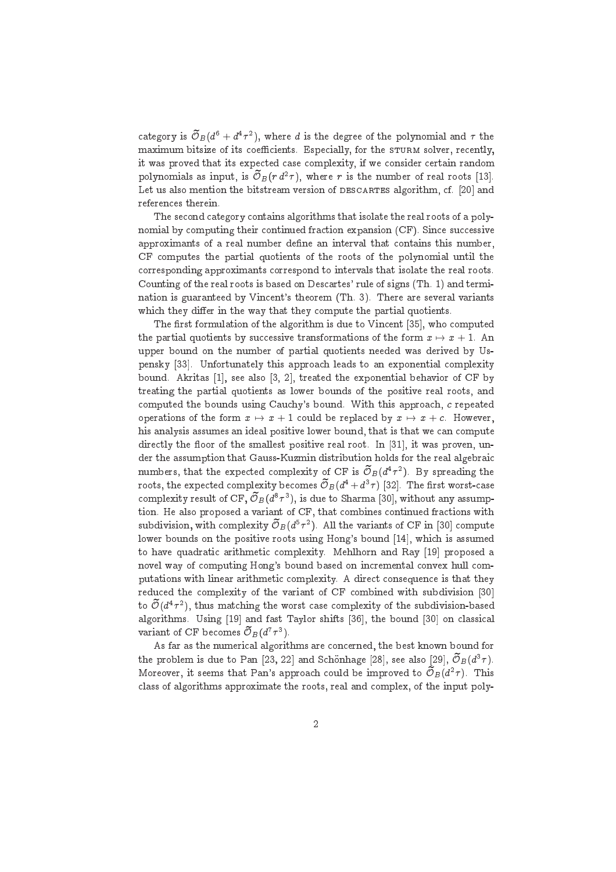category is  $\mathcal{O}_B(d^6 + d^4\tau^2)$ , where d is the degree of the polynomial and  $\tau$  the maximum bitsize of its coefficients. Especially, for the STURM solver, recently, it was proved that its expected case complexity, if we consider certain random polynomials as input, is  $\mathcal{O}_B(r d^2\tau)$ , where r is the number of real roots [13]. Let us also mention the bitstream version of DESCARTES algorithm, cf. [20] and referen
es therein.

The se
ond ategory ontains algorithms that isolate the real roots of a polynomial by computing their continued fraction expansion (CF). Since successive approximants of a real number define an interval that contains this number, CF omputes the partial quotients of the roots of the polynomial until the orresponding approximants orrespond to intervals that isolate the real roots. Counting of the real roots is based on Descartes' rule of signs (Th. 1) and termination is guaranteed by Vin
ent's theorem (Th. 3). There are several variants which they differ in the way that they compute the partial quotients.

The first formulation of the algorithm is due to Vincent [35], who computed the partial quotients by successive transformations of the form  $x \mapsto x + 1$ . An upper bound on the number of partial quotients needed was derived by Uspensky [33]. Unfortunately this approach leads to an exponential complexity bound. Akritas [1], see also [3, 2], treated the exponential behavior of CF by treating the partial quotients as lower bounds of the positive real roots, and computed the bounds using Cauchy's bound. With this approach, c repeated operations of the form  $x \mapsto x + 1$  could be replaced by  $x \mapsto x + c$ . However, his analysis assumes an ideal positive lower bound, that is that we can compute directly the floor of the smallest positive real root. In [31], it was proven, under the assumption that Gauss-Kuzmin distribution holds for the real algebrai numbers, that the expected complexity of CF is  $\mathcal{O}_B(d^4\tau^2)$ . By spreading the roots, the expected complexity becomes  ${\mathcal O}_{B}(d^4 + d^3\tau)$  [32]. The first worst-case complexity result of CF,  $\mathcal{O}_B(d^8\tau^3)$ , is due to Sharma [30], without any assumption. He also proposed a variant of CF, that ombines ontinued fra
tions with subdivision, with complexity  $\mathcal{O}_B(d^5\tau^2)$ . All the variants of CF in [30] compute lower bounds on the positive roots using Hong's bound [14], which is assumed to have quadratic arithmetic complexity. Mehlhorn and Ray [19] proposed a novel way of computing Hong's bound based on incremental convex hull computations with linear arithmetic complexity. A direct consequence is that they reduced the complexity of the variant of CF combined with subdivision [30] to  $\mathcal{O}(d^4\tau^2)$ , thus matching the worst case complexity of the subdivision-based algorithms. Using [19] and fast Taylor shifts [36], the bound [30] on classical variant of CF becomes  $\mathcal{O}_B(d^r\tau^3)$ .

As far as the numerical algorithms are concerned, the best known bound for the problem is due to Pan [23, 22] and Schönhage [28], see also [29],  ${\cal O}_B(d^3\tau).$ Moreover, it seems that Pan's approach could be improved to  $\mathcal{O}_B(d^2\tau)$ . This class of algorithms approximate the roots, real and complex, of the input poly-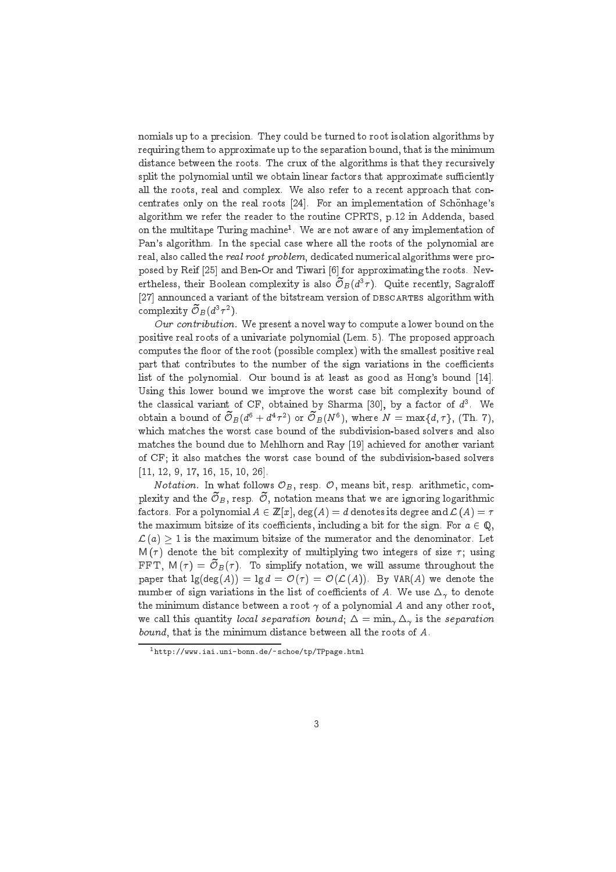nomials up to a pre
ision. They ould be turned to root isolation algorithms by requiring them to approximate up to the separation bound, that is the minimum distance between the roots. The crux of the algorithms is that they recursively split the polynomial until we obtain linear factors that approximate sufficiently all the roots, real and complex. We also refer to a recent approach that concentrates only on the real roots  $[24]$ . For an implementation of Schönhage's algorithm we refer the reader to the routine CPRTS, p.12 in Addenda, based on the multitape Turing machine". We are not aware of any implementation of Pan's algorithm. In the special case where all the roots of the polynomial are real, also called the real root problem, dedicated numerical algorithms were proposed by Reif [25] and Ben-Or and Tiwari [6] for approximating the roots. Nevertheless, their Boolean complexity is also  $\mathcal{O}_B(d^3\tau)$ . Quite recently, Sagraloff [27] announced a variant of the bitstream version of DESCARTES algorithm with complexity  $\mathcal{O}_B(d^3\tau^2)$ .

Our contribution. We present a novel way to compute a lower bound on the positive real roots of a univariate polynomial (Lem. 5). The proposed approa
h computes the floor of the root (possible complex) with the smallest positive real part that contributes to the number of the sign variations in the coefficients list of the polynomial. Our bound is at least as good as Hong's bound [14]. Using this lower bound we improve the worst case bit complexity bound of the classical variant of CF, obtained by Sharma [30], by a factor of  $d^3$ . We obtain a bound of  $\mathcal{O}_B(d^{\mathfrak{b}}+d^4\tau^2)$  or  $\mathcal{O}_B(N^{\mathfrak{b}})$ , where  $N=\max\{d,\tau\},$  (Th. 7), whi
h mat
hes the worst ase bound of the subdivision-based solvers and also matches the bound due to Mehlhorn and Ray [19] achieved for another variant of CF; it also mat
hes the worst ase bound of the subdivision-based solvers  $[11, 12, 9, 17, 16, 15, 10, 26].$ 

*Notation*. In what follows  $\mathcal{O}_B$ , resp.  $\mathcal{O}$ , means bit, resp. arithmetic, complexity and the  $\cup_B$ , resp.  $\cup$ , notation means that we are ignoring logarithmic factors. For a polynomial  $A \in \mathbb{Z}[x]$ , deg $(A) = d$  denotes its degree and  $\mathcal{L}(A) = \tau$ the maximum bitsize of its coefficients, including a bit for the sign. For  $a \in \mathbb{Q}$ .  $\mathcal{L} \left( a \right) \geq 1$  is the maximum bitsize of the numerator and the denominator. Let  $M(\tau)$  denote the bit complexity of multiplying two integers of size  $\tau$ ; using FFT,  $M(\tau) = \mathcal{O}_B(\tau)$ . To simplify notation, we will assume throughout the paper that  $\lg(\deg(A)) = \lg d = \mathcal{O}(\tau) = \mathcal{O}(\mathcal{L}(A))$ . By VAR(A) we denote the number of sign variations in the list of coefficients of A. We use  $\Delta_{\gamma}$  to denote the minimum distance between a root  $\gamma$  of a polynomial A and any other root, we call this quantity local separation bound;  $\Delta = \min_{\gamma} \Delta_{\gamma}$  is the separation bound, that is the minimum distan
e between all the roots of A.

<sup>1</sup> http://www.iai.uni-bonn.de/~schoe/tp/TPpage.html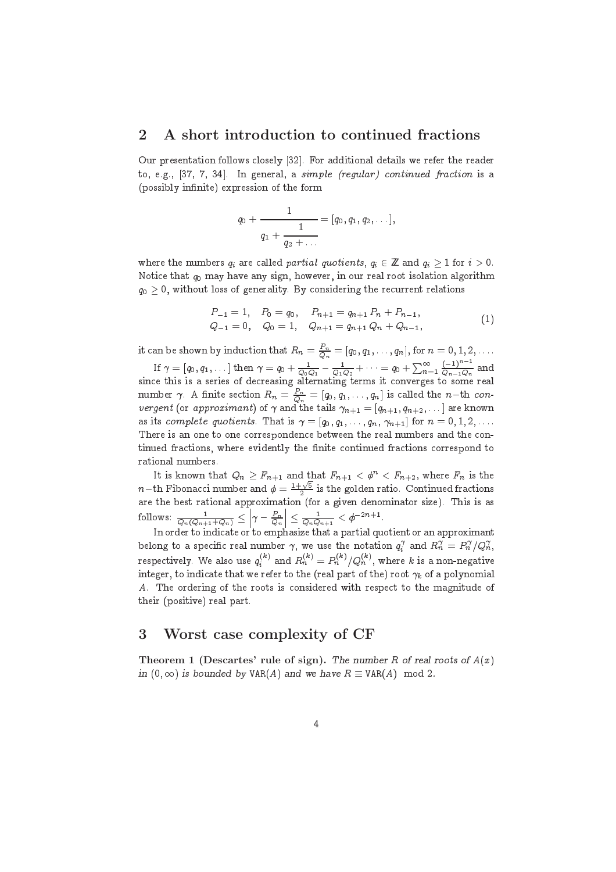### 2 A short introduction to continued fractions

Our presentation follows closely [32]. For additional details we refer the reader to, e.g.,  $[37, 7, 34]$ . In general, a simple (regular) continued fraction is a (possibly infinite) expression of the form

$$
q_0 + \cfrac{1}{q_1 + \cfrac{1}{q_2 + \ldots}} = [q_0, q_1, q_2, \ldots],
$$

where the numbers  $q_i$  are called *partial quotients*,  $q_i \in \mathbb{Z}$  and  $q_i \geq 1$  for  $i > 0$ . Notice that  $q_0$  may have any sign, however, in our real root isolation algorithm  $q_0 > 0$ , without loss of generality. By considering the recurrent relations

$$
P_{-1} = 1, \quad P_0 = q_0, \quad P_{n+1} = q_{n+1} P_n + P_{n-1},
$$
  
\n
$$
Q_{-1} = 0, \quad Q_0 = 1, \quad Q_{n+1} = q_{n+1} Q_n + Q_{n-1},
$$
\n(1)

it can be shown by induction that  $R_n=\frac{P_n}{Q_n}=[q_0,q_1,\ldots,q_n],$  for  $n=0,1,2,\ldots.$ If  $\gamma=[q_0,q_1,\dots]$  then  $\gamma=q_0+\frac{1}{Q_0Q_1}-\frac{1}{Q_1Q_2}+\dots=q_0+\sum_{n=1}^{\infty}\frac{(-1)^n}{Q_{n-1}Q_n}$  and sin
e this is a series of de
reasing alternating terms it onverges to some real number  $\gamma$ . A finite section  $R_n = \frac{P_n}{Q_n} = [q_0, q_1, \ldots, q_n]$  is called the  $n\!-\!th$  con*vergent* (or *approximant*) or  $\gamma$  and the tails  $\gamma_{n+1} = |q_{n+1}, q_{n+2}, \dots|$  are known as its complete quotients. That is  $\gamma = [q_0, q_1, \ldots, q_n, \gamma_{n+1}]$  for  $n = 0, 1, 2, \ldots$ . There is an one to one correspondence between the real numbers and the continued fractions, where evidently the finite continued fractions correspond to rational numbers.

It is known that  $Q_n \geq F_{n+1}$  and that  $F_{n+1} < \phi^n < F_{n+2}$ , where  $F_n$  is the  $n-{\rm th}$  Fibonacci number and  $\phi=\frac{1+\sqrt{5}}{2}$  is the golden ratio. Continued fractions are the best rational approximation (for a given denominator size). This is assumed to a given denominator size 10110ws:  $\frac{1}{Q_n(Q_{n+1}+Q_n)} \geq$  $\gamma - \frac{P_n}{Q_n}$  $\vert \leq \frac{1}{Q_n Q_{n+1}} < \phi^{-2n+1}.$ 

In order to indi
ate or to emphasize that a partial quotient or an approximant belong to a specific real number  $\gamma,$  we use the notation  $q_i^\gamma$  and  $R_n^\gamma = P_n^\gamma/Q_n^\gamma,$ respectively. We also use  $q_i^{(k)}$  and  $R_n^{(k)} = P_n^{(k)}/Q_n^{(k)},$  where  $k$  is a non-negative integer, to indicate that we refer to the (real part of the) root  $\gamma_k$  of a polynomial A. The ordering of the roots is onsidered with respe
t to the magnitude of their (positive) real part.

### 3 Worst case complexity of CF

Theorem 1 (Descartes' rule of sign). The number R of real roots of  $A(x)$ in  $(0, \infty)$  is bounded by VAR(A) and we have  $R \equiv VAR(A) \mod 2$ .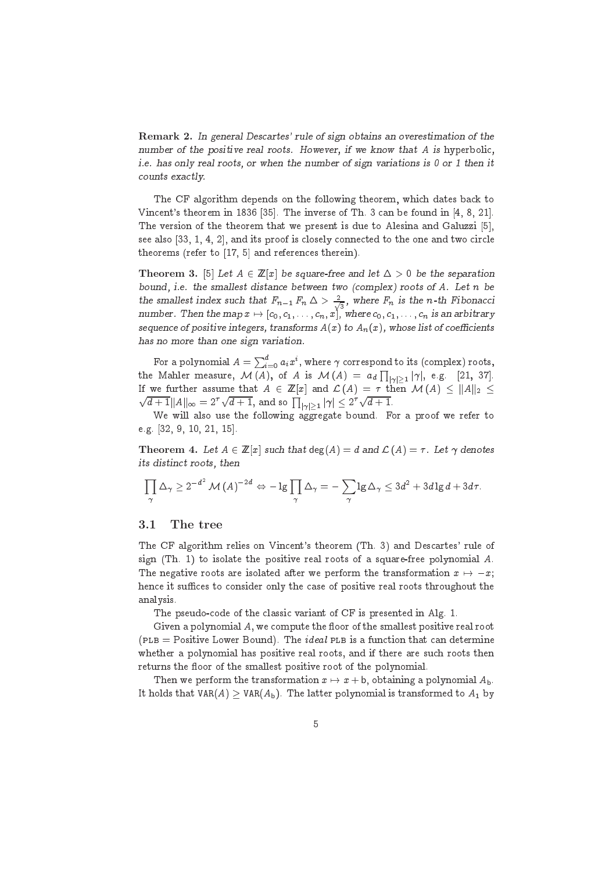Remark 2. In general Descartes' rule of sign obtains an overestimation of the number of the positive real roots. However, if we know that A is hyperbolic, i.e. has only real roots, or when the number of sign variations is <sup>0</sup> or <sup>1</sup> then it ounts exa
tly.

The CF algorithm depends on the following theorem, which dates back to Vincent's theorem in 1836 [35]. The inverse of Th. 3 can be found in [4, 8, 21]. The version of the theorem that we present is due to Alesina and Galuzzi [5]. see also  $[33, 1, 4, 2]$ , and its proof is closely connected to the one and two circle theorems (refer to  $[17, 5]$  and references therein).

**Theorem 3.** [5] Let  $A \in \mathbb{Z}[x]$  be square-free and let  $\Delta > 0$  be the separation bound, i.e. the smallest distan
e between two (
omplex) roots of A. Let <sup>n</sup> be the smallest index such that  $F_{n-1} F_n \Delta > \frac{2}{\lambda}$  $\frac{1}{3}$ , where  $F_n$  is the n-th Fibonacci number. Then the map  $x \mapsto [c_0, c_1, \ldots, c_n, x]$ , where  $c_0, c_1, \ldots, c_n$  is an arbitrary sequence of positive integers, transforms  $A(x)$  to  $A_n(x)$ , whose list of coefficients has no more than one sign variation.

For a polynomial  $A = \sum_{i=0}^d a_i x^i,$  where  $\gamma$  correspond to its (complex) roots, the Mahler measure,  $\mathcal{M}\left(A\right)$ , of  $A$  is  $\mathcal{M}\left(A\right) \;=\; a_d\prod_{\left|\gamma\right|>\left1\right.}\left|\gamma\right|$ , e.g.  $[21,\;37].$ If we further assume that  $A \in \mathbb{Z}[x]$  and  $\mathcal{L}(A) = \tau$  then  $\mathcal{M}(A) \leq ||A||_2 \leq$  $\sqrt{d+1}||A||_{\infty} = 2^{\tau}\sqrt{d+1}$ , and so  $\prod_{|\gamma|>1} |\gamma| \leq 2^{\tau}\sqrt{d+1}$ .

We will also use the following aggregate bound. For a proof we refer to e.g.  $[32, 9, 10, 21, 15]$ .

**Theorem 4.** Let  $A \in \mathbb{Z}[x]$  such that  $deg(A) = d$  and  $\mathcal{L}(A) = \tau$ . Let  $\gamma$  denotes its distin
t roots, then

$$
\prod_{\gamma} \Delta_{\gamma} \geq 2^{-d^2} \mathcal{M}(A)^{-2d} \Leftrightarrow -\lg \prod_{\gamma} \Delta_{\gamma} = -\sum_{\gamma} \lg \Delta_{\gamma} \leq 3d^2 + 3d \lg d + 3d\tau.
$$

#### 3.1 The tree

The CF algorithm relies on Vin
ent's theorem (Th. 3) and Des
artes' rule of sign (Th. 1) to isolate the positive real roots of a square-free polynomial A. The negative roots are isolated after we perform the transformation  $x \mapsto -x$ ; hence it suffices to consider only the case of positive real roots throughout the analysis.

The pseudo-code of the classic variant of CF is presented in Alg. 1.

Given a polynomial A, we compute the floor of the smallest positive real root  $(PLB = Positive Lower Bound)$ . The *ideal* PLB is a function that can determine whether a polynomial has positive real roots, and if there are such roots then returns the floor of the smallest positive root of the polynomial.

Then we perform the transformation  $x \mapsto x + b$ , obtaining a polynomial  $A_b$ . It holds that  $VAR(A) \geq VAR(A_b)$ . The latter polynomial is transformed to  $A_1$  by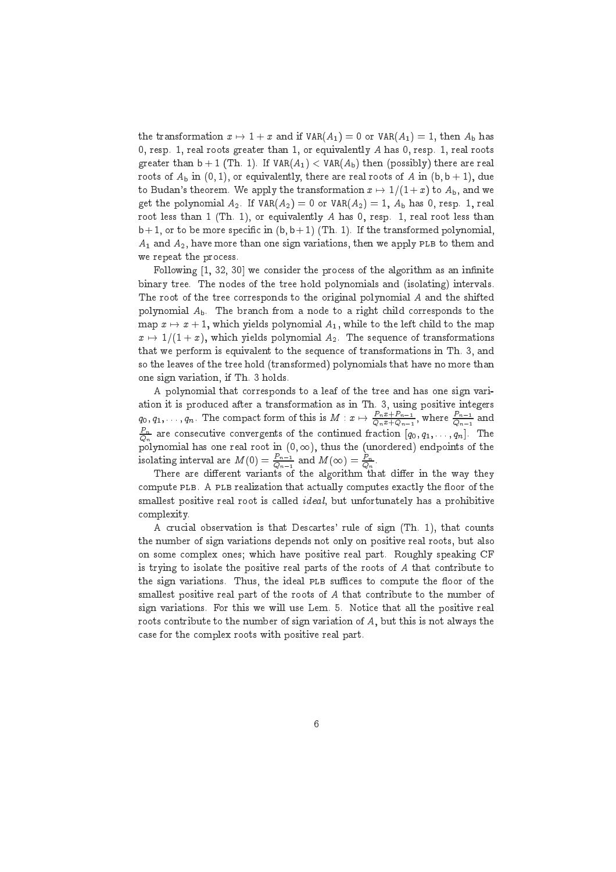the transformation  $x \mapsto 1 + x$  and if  $VAR(A_1) = 0$  or  $VAR(A_1) = 1$ , then  $A_b$  has 0, resp. 1, real roots greater than 1, or equivalently A has 0, resp. 1, real roots greater than  $b + 1$  (Th. 1). If  $VAR(A_1) < VAR(A_b)$  then (possibly) there are real roots of  $A_b$  in (0, 1), or equivalently, there are real roots of A in (b, b + 1), due to Budan's theorem. We apply the transformation  $x \mapsto 1/(1 + x)$  to  $A_{b}$ , and we get the polynomial  $A_2$ . If  $VAR(A_2) = 0$  or  $VAR(A_2) = 1$ ,  $A_b$  has 0, resp. 1, real root less than 1 (Th. 1), or equivalently A has 0, resp. 1, real root less than  $b+1$ , or to be more specific in  $(b, b+1)$  (Th. 1). If the transformed polynomial,  $A_1$  and  $A_2$ , have more than one sign variations, then we apply PLB to them and we repeat the process

Following [1, 32, 30] we consider the process of the algorithm as an infinite binary tree. The nodes of the tree hold polynomials and (isolating) intervals. The root of the tree corresponds to the original polynomial A and the shifted polynomial  $A_b$ . The branch from a node to a right child corresponds to the map  $x \mapsto x + 1$ , which yields polynomial  $A_1$ , while to the left child to the map  $x \mapsto 1/(1 + x)$ , which yields polynomial  $A_2$ . The sequence of transformations that we perform is equivalent to the sequen
e of transformations in Th. 3, and so the leaves of the tree hold (transformed) polynomials that have no more than one sign variation, if Th. 3 holds.

A polynomial that orresponds to a leaf of the tree and has one sign variation it is produ
ed after a transformation as in Th. 3, using positive integers  $q_0,q_1,\ldots,q_n.$  The compact form of this is  $M:x\mapsto\frac{P_nx+P_{n-1}}{Q_nx+Q_{n-1}},$  where  $\frac{P_{n-1}}{Q_{n-1}}$  and  $\frac{P_n}{Q_n}$  are consecutive convergents of the continued fraction  $[q_0, q_1, \ldots, q_n]$ . The polynomial has one real root in  $(0, \infty)$ , thus the (unordered) endpoints of the isolating interval are  $M(0) = \frac{P_{n-1}}{Q_{n-1}}$  and  $M(\infty) = \frac{P_n}{Q_n}$ .

There are different variants of the algorithm that differ in the way they compute PLB. A PLB realization that actually computes exactly the floor of the smallest positive real root is called *ideal*, but unfortunately has a prohibitive omplexity.

A crucial observation is that Descartes' rule of sign (Th. 1), that counts the number of sign variations depends not only on positive real roots, but also on some omplex ones; whi
h have positive real part. Roughly speaking CF is trying to isolate the positive real parts of the roots of  $A$  that contribute to the sign variations. Thus, the ideal PLB suffices to compute the floor of the smallest positive real part of the roots of A that ontribute to the number of sign variations. For this we will use Lem. 5. Noti
e that all the positive real roots ontribute to the number of sign variation of A, but this is not always the ase for the omplex roots with positive real part.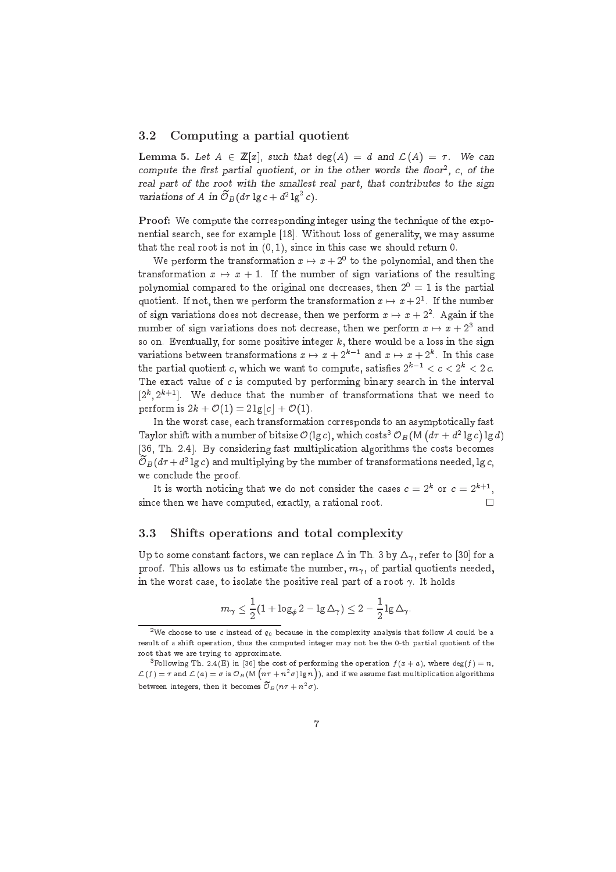#### 3.2 Computing a partial quotient

Lemma 5. Let  $A \in \mathbb{Z}[x]$ , such that  $deg(A) = d$  and  $\mathcal{L}(A) = \tau$ . We can compute the first partial quotient, or in the other words the floor  $\epsilon$ ,  $c$ , of the real part of the root with the smallest real part, that ontributes to the sign variations of A in  $\mathcal{O}_B(d\tau \lg c + d^2 \lg^2 c)$ .

Proof: We compute the corresponding integer using the technique of the exponential search, see for example [18]. Without loss of generality, we may assume that the real root is not in  $(0, 1)$ , since in this case we should return 0.

We perform the transformation  $x \mapsto x + 2^{\circ}$  to the polynomial, and then the transformation  $x \mapsto x + 1$ . If the number of sign variations of the resulting polynomial compared to the original one decreases, then  $2^0 = 1$  is the partial quotient. If not, then we perform the transformation  $x\mapsto x+ 2^\ast.$  If the number of sign variations does not decrease, then we perform  $x\mapsto x+2^{\ast}.$  Again if the number of sign variations does not decrease, then we perform  $x\mapsto x+2^{\circ}$  and so on. Eventually, for some positive integer  $k$ , there would be a loss in the sign variations between transformations  $x \mapsto x + 2^{k-1}$  and  $x \mapsto x + 2^k$ . In this case the partial quotient c, which we want to compute, satisfies  $2^{k-1} < c < 2^k < 2 c$ . The exact value of  $c$  is computed by performing binary search in the interval  $[2^k, 2^{k+1}]$ . We deduce that the number of transformations that we need to perform is  $2k + \mathcal{O}(1) = 2 \lg |c| + \mathcal{O}(1)$ .

In the worst case, each transformation corresponds to an asymptotically fast Taylor shift with a number of bitsize  $\mathcal{O}(\lg c)$ , which costs<sup>3</sup>  $\mathcal{O}_B(\mathsf{M}\,(d\tau + d^2\lg c)\lg d)$ [36, Th. 2.4]. By considering fast multiplication algorithms the costs becomes  $\mathcal{O}_B(d\tau + d^2 \lg c)$  and multiplying by the number of transformations needed, lg c, we on
lude the proof.

It is worth noticing that we do not consider the cases  $c = 2^k$  or  $c = 2^{k+1}$ , since then we have computed, exactly, a rational root.  $\Box$ 

#### 3.3 Shifts operations and total complexity

Up to some constant factors, we can replace  $\Delta$  in Th. 3 by  $\Delta_{\gamma}$ , refer to [30] for a proof. This allows us to estimate the number,  $m_{\gamma}$ , of partial quotients needed, in the worst case, to isolate the positive real part of a root  $\gamma$ . It holds

$$
m_{\gamma} \leq \frac{1}{2}(1 + \log_{\phi} 2 - \log \Delta_{\gamma}) \leq 2 - \frac{1}{2}\lg \Delta_{\gamma}.
$$

 $^{\circ}$ We choose to use  $c$  instead of  $q_0$  because in the complexity analysis that follow  $A$  could be a result of <sup>a</sup> shift operation, thus the omputed integer may not be the 0-th partial quotient of the root that we are trying to approximate.

<sup>&</sup>lt;sup>3</sup> Following Th. 2.4(E) in [36] the cost of performing the operation  $f(x+a)$ , where  $\deg(f)=n$ ,  $\mathcal{L}\left(f\right)=\tau$  and  $\mathcal{L}\left(a\right)=\sigma$  is  $\mathcal{O}_{B}\!\left(\mathsf{M}\left(n\tau+n^{2}\sigma\right)\lg n\right)$ ), and if we assume fast multiplication algorithms between integers, then it becomes  $\mathcal{O}_B(n\tau+n^*\sigma)$ .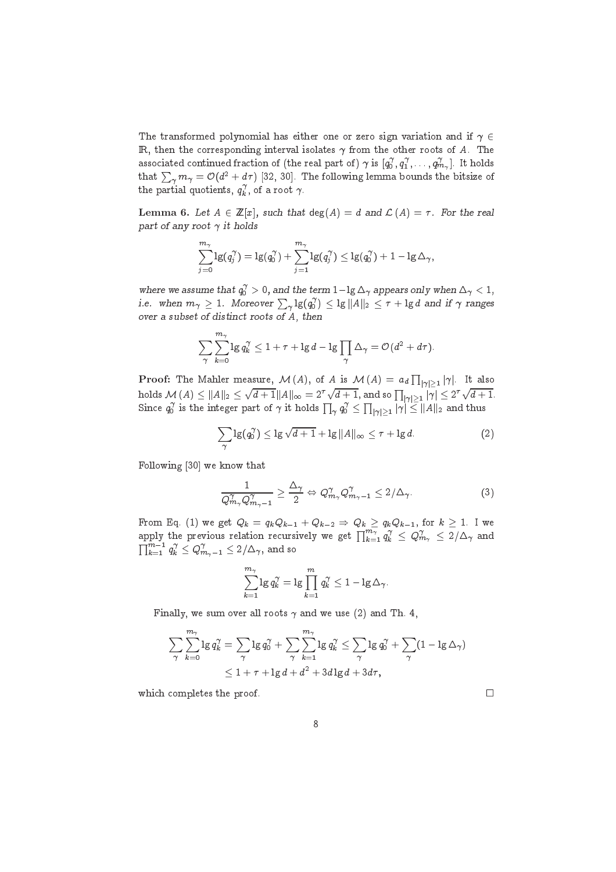The transformed polynomial has either one or zero sign variation and if  $\gamma \in$ IR, then the corresponding interval isolates  $\gamma$  from the other roots of A. The associated continued fraction of (the real part of)  $\gamma$  is  $[q_0^\gamma,q_1^\gamma,\ldots,q_{m_\gamma}^\gamma].$  It holds that  $\sum_{\gamma} m_{\gamma} = {\cal O}(d^2+d\tau)$  [32, 30]. The following lemma bounds the bitsize of the partial quotients,  $q_k^\gamma$ , of a root  $\gamma$ .

Lemma 6. Let  $A \in \mathbb{Z}[x]$ , such that  $deg(A) = d$  and  $\mathcal{L}(A) = \tau$ . For the real part of any root  $\gamma$  it holds

$$
\sum_{j=0}^{m_{\gamma}}\lg(q_j^{\gamma})=\lg(q_0^{\gamma})+\sum_{j=1}^{m_{\gamma}}\lg(q_j^{\gamma})\leq\lg(q_0^{\gamma})+1-\lg\Delta_{\gamma},
$$

where we assume that  $q_0^\gamma >$  0, and the term  $1 - \lg \Delta_\gamma$  appears only when  $\Delta_\gamma < 1,$ i.e. when  $m_\gamma\geq 1$ . Moreover  $\sum_\gamma\lg(q_0^\gamma)\leq\lg\|A\|_2\leq \tau+\lg d$  and if  $\gamma$  ranges over <sup>a</sup> subset of distin
t roots of A, then

$$
\sum_{\gamma}\sum_{k=0}^{m_{\gamma}}\lg q_k^{\gamma}\leq 1+\tau+\lg d-\lg\prod_{\gamma}\Delta_{\gamma}=\mathcal{O}(d^2+d\tau).
$$

 $\bf{Proof:}$  The Mahler measure,  $\cal{M}$   $(A),$  of  $A$  is  $\cal{M}$   $(A)$   $=$   $a_d$   $\prod_{|\gamma|>1} |\gamma|.$  It also holds  $\mathcal{M}\left(A\right) \leq \left\| A \right\|_2 \leq 1$  $\sqrt{d+1}\|A\|_\infty = 2^\tau \sqrt{d+1},$  and so  $\prod_{|\gamma|>1} |\gamma| \leq 2^\tau \sqrt{d+1}.$ Since  $q_0^\gamma$  is the integer part of  $\gamma$  it holds  $\prod_{\gamma} q_0^\gamma \leq \prod_{|\gamma|>1} |\gamma| \leq \|A\|_2$  and thus

$$
\sum_{\gamma} \lg(q_0^{\gamma}) \le \lg \sqrt{d+1} + \lg ||A||_{\infty} \le \tau + \lg d. \tag{2}
$$

Following  $[30]$  we know that

$$
\frac{1}{Q_{m_{\gamma}}^{\gamma}Q_{m_{\gamma}-1}^{\gamma}} \geq \frac{\Delta_{\gamma}}{2} \Leftrightarrow Q_{m_{\gamma}}^{\gamma}Q_{m_{\gamma}-1}^{\gamma} \leq 2/\Delta_{\gamma}.
$$
 (3)

From Eq. (1) we get  $Q_k = q_k Q_{k-1} + Q_{k-2} \Rightarrow Q_k \ge q_k Q_{k-1}$ , for  $k \ge 1$ . I we apply the previous relation recursively we get  $\prod_{k=1}^{m_\gamma} q_k^\gamma\leq Q_{m_\gamma}^\gamma\leq 2/\Delta_\gamma$  and  $\prod_{k=1}^{m-1} q_k^{\gamma} \leq Q_{m_{\gamma}-1}^{\gamma} \leq 2/\Delta_{\gamma},$  and so

$$
\sum_{k=1}^{m_{\gamma}} \lg q_k^{\gamma} = \lg \prod_{k=1}^{m} q_k^{\gamma} \leq 1 - \lg \Delta_{\gamma}.
$$

Finally, we sum over all roots  $\gamma$  and we use (2) and Th. 4,

$$
\sum_{\gamma} \sum_{k=0}^{m_{\gamma}} \lg q_k^{\gamma} = \sum_{\gamma} \lg q_0^{\gamma} + \sum_{\gamma} \sum_{k=1}^{m_{\gamma}} \lg q_k^{\gamma} \le \sum_{\gamma} \lg q_0^{\gamma} + \sum_{\gamma} (1 - \lg \Delta_{\gamma})
$$
  

$$
\le 1 + \tau + \lg d + d^2 + 3d \lg d + 3d\tau,
$$

which completes the proof.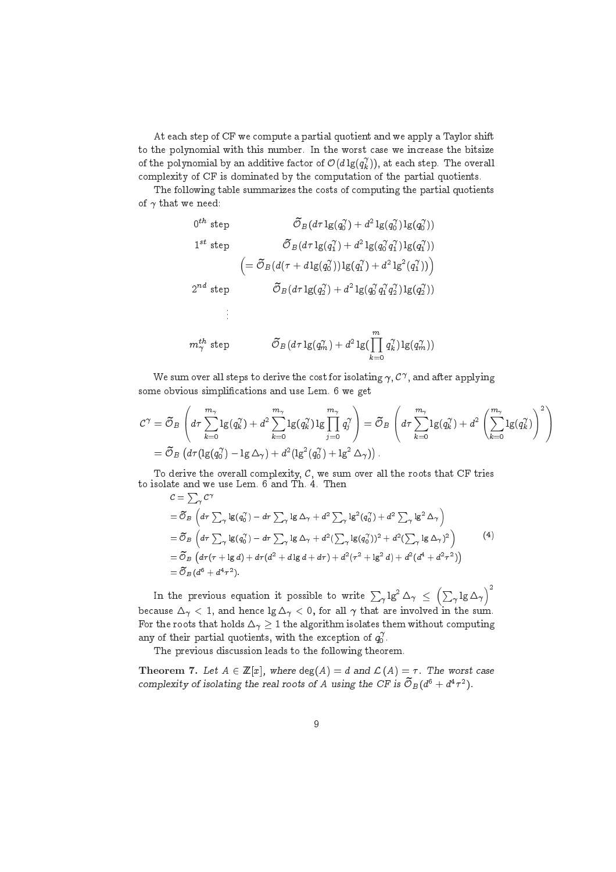At each step of CF we compute a partial quotient and we apply a Taylor shift to the polynomial with this number. In the worst case we increase the bitsize of the polynomial by an additive factor of  $\mathcal{O}(d\lg(q_k^\gamma)),$  at each step. The overall omplexity of CF is dominated by the omputation of the partial quotients.

The following table summarizes the costs of computing the partial quotients of  $\gamma$  that we need:

$$
0^{th} \text{ step} \qquad \tilde{\mathcal{O}}_B(d\tau \lg(q_0^{\gamma}) + d^2 \lg(q_0^{\gamma})) \lg(q_0^{\gamma}))
$$
  
\n
$$
1^{st} \text{ step} \qquad \tilde{\mathcal{O}}_B(d\tau \lg(q_1^{\gamma}) + d^2 \lg(q_0^{\gamma} q_1^{\gamma})) \lg(q_1^{\gamma}))
$$
  
\n
$$
= \tilde{\mathcal{O}}_B(d(\tau + d \lg(q_0^{\gamma})) \lg(q_1^{\gamma}) + d^2 \lg^2(q_1^{\gamma}))
$$
  
\n
$$
2^{nd} \text{ step} \qquad \tilde{\mathcal{O}}_B(d\tau \lg(q_2^{\gamma}) + d^2 \lg(q_0^{\gamma} q_1^{\gamma} q_2^{\gamma})) \lg(q_2^{\gamma}))
$$
  
\n
$$
\vdots
$$
  
\n
$$
m_{\gamma}^{th} \text{ step} \qquad \tilde{\mathcal{O}}_B(d\tau \lg(q_m^{\gamma}) + d^2 \lg(\prod_{k=0}^{m} q_k^{\gamma}) \lg(q_m^{\gamma}))
$$

We sum over all steps to derive the cost for isolating  $\gamma$  ,  $\mathcal{C}^{\gamma},$  and after applying some obvious simplifications and use Lem. 6 we get

$$
C^{\gamma} = \widetilde{\mathcal{O}}_B \left( d\tau \sum_{k=0}^{m_{\gamma}} \log(q_k^{\gamma}) + d^2 \sum_{k=0}^{m_{\gamma}} \log(q_k^{\gamma}) \log \prod_{j=0}^{m_{\gamma}} q_j^{\gamma} \right) = \widetilde{\mathcal{O}}_B \left( d\tau \sum_{k=0}^{m_{\gamma}} \log(q_k^{\gamma}) + d^2 \left( \sum_{k=0}^{m_{\gamma}} \log(q_k^{\gamma}) \right)^2 \right)
$$
  
=  $\widetilde{\mathcal{O}}_B \left( d\tau (\log(q_0^{\gamma}) - \log \Delta_{\gamma}) + d^2 (\log^2(q_0^{\gamma}) + \log^2 \Delta_{\gamma}) \right).$ 

To derive the overall complexity,  $C$ , we sum over all the roots that CF tries to isolate and we use Lem. 6 and Th. 4. Then

$$
C = \sum_{\gamma} C^{\gamma}
$$
  
=  $\widetilde{\mathcal{O}}_B \left( d\tau \sum_{\gamma} \lg(q_0^{\gamma}) - d\tau \sum_{\gamma} \lg \Delta_{\gamma} + d^2 \sum_{\gamma} \lg^2(q_0^{\gamma}) + d^2 \sum_{\gamma} \lg^2 \Delta_{\gamma} \right)$   
=  $\widetilde{\mathcal{O}}_B \left( d\tau \sum_{\gamma} \lg(q_0^{\gamma}) - d\tau \sum_{\gamma} \lg \Delta_{\gamma} + d^2 (\sum_{\gamma} \lg(q_0^{\gamma}))^2 + d^2 (\sum_{\gamma} \lg \Delta_{\gamma})^2 \right)$   
=  $\widetilde{\mathcal{O}}_B \left( d\tau (\tau + \lg d) + d\tau (d^2 + d \lg d + d\tau) + d^2 (\tau^2 + \lg^2 d) + d^2 (d^4 + d^2 \tau^2) \right)$   
=  $\widetilde{\mathcal{O}}_B (d^6 + d^4 \tau^2).$  (4)

In the previous equation it possible to write  $\sum_{\gamma} \lg^2 \Delta_{\gamma} \ \leq$ P  $\gamma$  +5  $\hookrightarrow$   $\gamma$  $\sqrt{2}$ because  $\Delta_{\gamma}$  < 1, and hence  $\lg \Delta_{\gamma}$  < 0, for all  $\gamma$  that are involved in the sum. For the roots that holds  $\Delta_{\gamma} \geq 1$  the algorithm isolates them without computing any of their partial quotients, with the exception of  $q_0^{\gamma}$ .

The previous discussion leads to the following theorem.

**Theorem 7.** Let  $A \in \mathbb{Z}[x]$ , where  $deg(A) = d$  and  $\mathcal{L}(A) = \tau$ . The worst case complexity of isolating the real roots of A using the CF is  $\mathcal{O}_B(d^6 + d^4\tau^2)$ .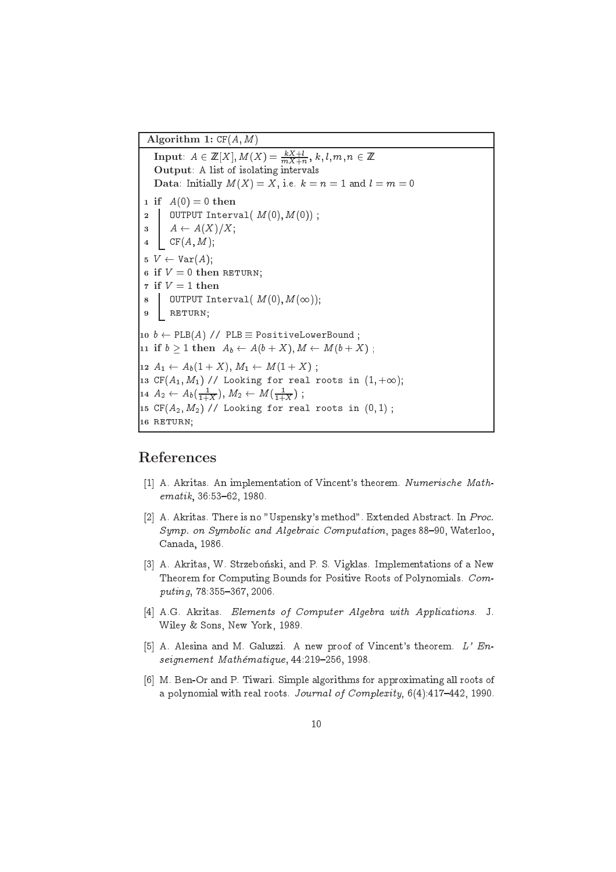Algorithm 1:  $CF(A, M)$ 

 $\textbf{Input:} \ \ A \in \mathbb{Z}[X], \, M(X) = \frac{kX+l}{mX+n}, \, k,l,m,n \in \mathbb{Z}$ Output: A list of isolating intervals Data: Initially  $M(X) = X$ , i.e.  $k = n = 1$  and  $l = m = 0$ 1 if  $A(0) = 0$  then 2 | OUTPUT Interval $(M(0), M(0))$ ;  $3 \quad A \leftarrow A(X)/X;$  $4 \text{CF}(A, M);$  $5 \, V \leftarrow \text{Var}(A);$ 6 if  $V = 0$  then RETURN; 7 if  $V = 1$  then 8 OUTPUT Interval  $(M(0), M(\infty));$ 9 RETURN;  $10 \; b \leftarrow \text{PLB}(A) \; // \; \text{PLB} \equiv \text{PositiveLowerBound}$ ; 11 if  $b > 1$  then  $A_b \leftarrow A(b + X), M \leftarrow M(b + X)$ ; 12  $A_1 \leftarrow A_b(1 + X), M_1 \leftarrow M(1 + X)$ ; 13 CF $(A_1, M_1)$  // Looking for real roots in  $(1, +\infty);$  $14$   $A_2 \leftarrow A_b(\frac{1}{1+X}), M_2 \leftarrow M(\frac{1}{1+X})$ ; 15 CF $(A_2, M_2)$  // Looking for real roots in  $(0, 1)$ ; 16 RETURN;

### References

- [1] A. Akritas. An implementation of Vincent's theorem. Numerische Math $ematik, 36:53–62, 1980.$
- [2] A. Akritas. There is no "Uspensky's method". Extended Abstract. In Proc. Symp. on Symbolic and Algebraic Computation, pages 88-90, Waterloo, Canada, 1986.
- [3] A. Akritas, W. Strzebonski, and P. S. Vigklas. Implementations of a New Theorem for Computing Bounds for Positive Roots of Polynomials. Com $puting, 78:355-367, 2006.$
- [4] A.G. Akritas. Elements of Computer Algebra with Applications. J. Wiley & Sons, New York, 1989.
- [5] A. Alesina and M. Galuzzi. A new proof of Vincent's theorem.  $L$ ' Enseignement Mathématique, 44:219-256, 1998.
- [6] M. Ben-Or and P. Tiwari. Simple algorithms for approximating all roots of a polynomial with real roots. Journal of Complexity,  $6(4):417-442$ , 1990.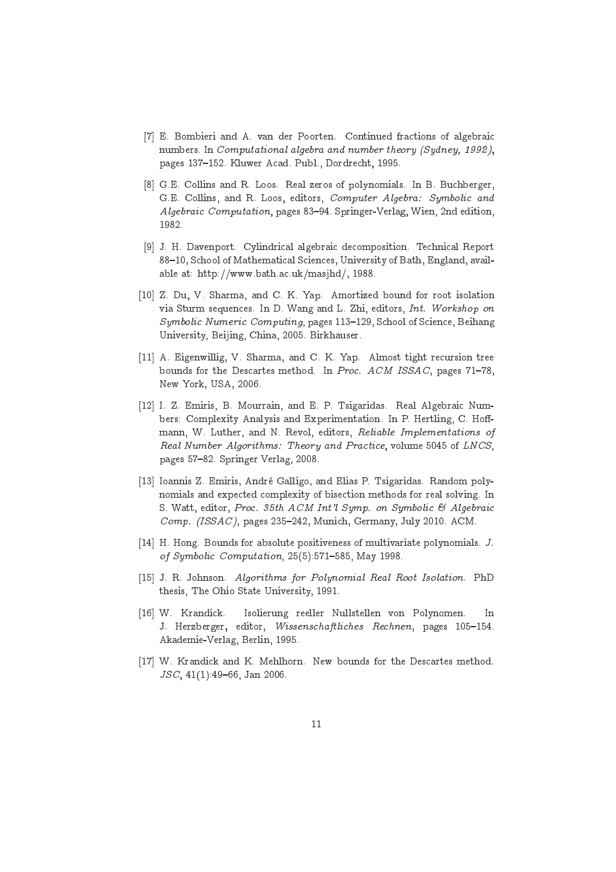- [7] E. Bombieri and A. van der Poorten. Continued fractions of algebraic numbers. In Computational algebra and number theory (Sydney, 1992), pages 137-152. Kluwer Acad. Publ., Dordrecht, 1995.
- [8] G.E. Collins and R. Loos. Real zeros of polynomials. In B. Buchberger, G.E. Collins, and R. Loos, editors, Computer Algebra: Symbolic and Algebraic Computation, pages 83-94. Springer-Verlag, Wien, 2nd edition, 1982.
- [9] J. H. Davenport. Cylindrical algebraic decomposition. Technical Report 88-10, School of Mathematical Sciences, University of Bath, England, available at: http://www.bath.a
.uk/masjhd/, 1988.
- [10] Z. Du, V. Sharma, and C. K. Yap. Amortized bound for root isolation via Sturm sequences. In D. Wang and L. Zhi, editors, Int. Workshop on Symbolic Numeric Computing, pages 113-129, School of Science, Beihang University, Beijing, China, 2005. Birkhauser.
- [11] A. Eigenwillig, V. Sharma, and C. K. Yap. Almost tight recursion tree bounds for the Descartes method. In Proc. ACM ISSAC, pages 71-78, New York, USA, 2006.
- [12] I. Z. Emiris, B. Mourrain, and E. P. Tsigaridas. Real Algebraic Numbers: Complexity Analysis and Experimentation. In P. Hertling, C. Hoffmann, W. Luther, and N. Revol, editors, Reliable Implementations of Real Number Algorithms: Theory and Practice, volume 5045 of LNCS, pages 57-82. Springer Verlag, 2008.
- [13] Ioannis Z. Emiris, André Galligo, and Elias P. Tsigaridas. Random polynomials and expe
ted omplexity of bise
tion methods for real solving. In S. Watt, editor, Proc. 35th  $ACM$  Int'l Symp. on Symbolic & Algebraic Comp. (ISSAC), pages 235-242, Munich, Germany, July 2010. ACM.
- [14] H. Hong. Bounds for absolute positiveness of multivariate polynomials.  $J$ . of Symbolic Computation, 25(5):571-585, May 1998.
- [15] J. R. Johnson. Algorithms for Polynomial Real Root Isolation. PhD thesis, The Ohio State University, 1991.
- [16] W. Krandick. Isolierung reeller Nullstellen von Polynomen. In J. Herzberger, editor, Wissenschaftliches Rechnen, pages 105-154. Akademie-Verlag, Berlin, 1995.
- [17] W. Krandick and K. Mehlhorn. New bounds for the Descartes method.  $JSC$ , 41(1):49-66, Jan 2006.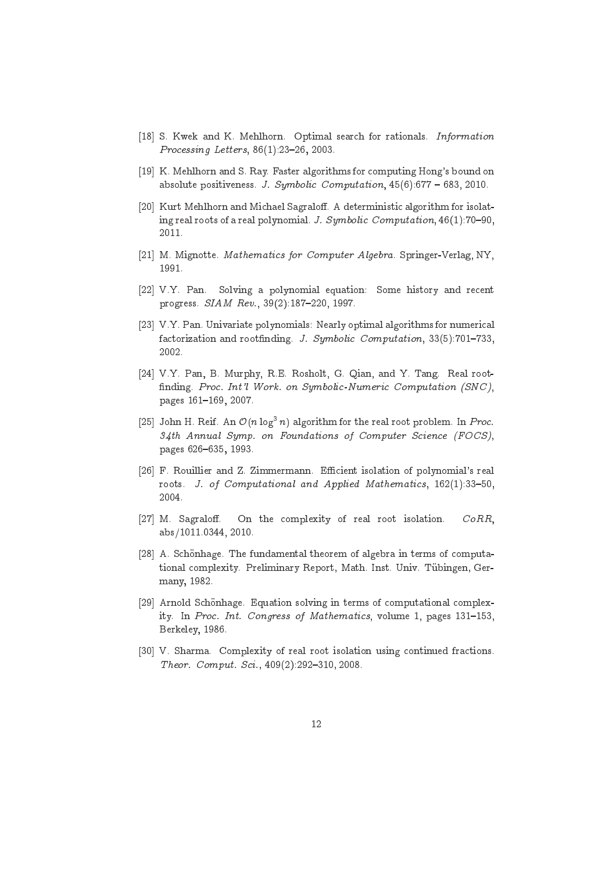- [18] S. Kwek and K. Mehlhorn. Optimal search for rationals. Information Processing Letters, 86(1):23-26, 2003.
- [19] K. Mehlhorn and S. Ray. Faster algorithms for computing Hong's bound on absolute positiveness. J. Symbolic Computation,  $45(6)$ :677 - 683, 2010.
- [20] Kurt Mehlhorn and Michael Sagraloff. A deterministic algorithm for isolating real roots of a real polynomial. J. Symbolic Computation, 46(1):70-90, 2011.
- [21] M. Mignotte. Mathematics for Computer Algebra. Springer-Verlag, NY,
- [22] V.Y. Pan. Solving a polynomial equation: Some history and recent progress.  $SIAM$   $Rev.$ ,  $39(2):187-220$ , 1997.
- $[23]$  V.Y. Pan. Univariate polynomials: Nearly optimal algorithms for numerical factorization and rootfinding. J. Symbolic Computation, 33(5):701-733, 2002.
- [24] V.Y. Pan, B. Murphy, R.E. Rosholt, G. Qian, and Y. Tang. Real rootfinding. Proc. Int'l Work. on Symbolic-Numeric Computation (SNC), pages 161-169, 2007.
- $|25|$  John H. Reif. An  $O(n\log^3n)$  algorithm for the real root problem. In  $Proc.$ 34th Annual Symp. on Foundations of Computer Science (FOCS), pages 626-635, 1993.
- [26] F. Rouillier and Z. Zimmermann. Efficient isolation of polynomial's real roots. J. of Computational and Applied Mathematics, 162(1):33-50,
- [27] M. Sagraloff. On the complexity of real root isolation.  $CoRR$ , abs/1011.0344, 2010.
- [28] A. Schönhage. The fundamental theorem of algebra in terms of computational complexity. Preliminary Report, Math. Inst. Univ. Tübingen, Germany, 1982.
- [29] Arnold Schönhage. Equation solving in terms of computational complexity. In Proc. Int. Congress of Mathematics, volume 1, pages 131-153, Berkeley, 1986.
- [30] V. Sharma. Complexity of real root isolation using continued fractions. Theor. Comput. Sci., 409(2):292-310, 2008.